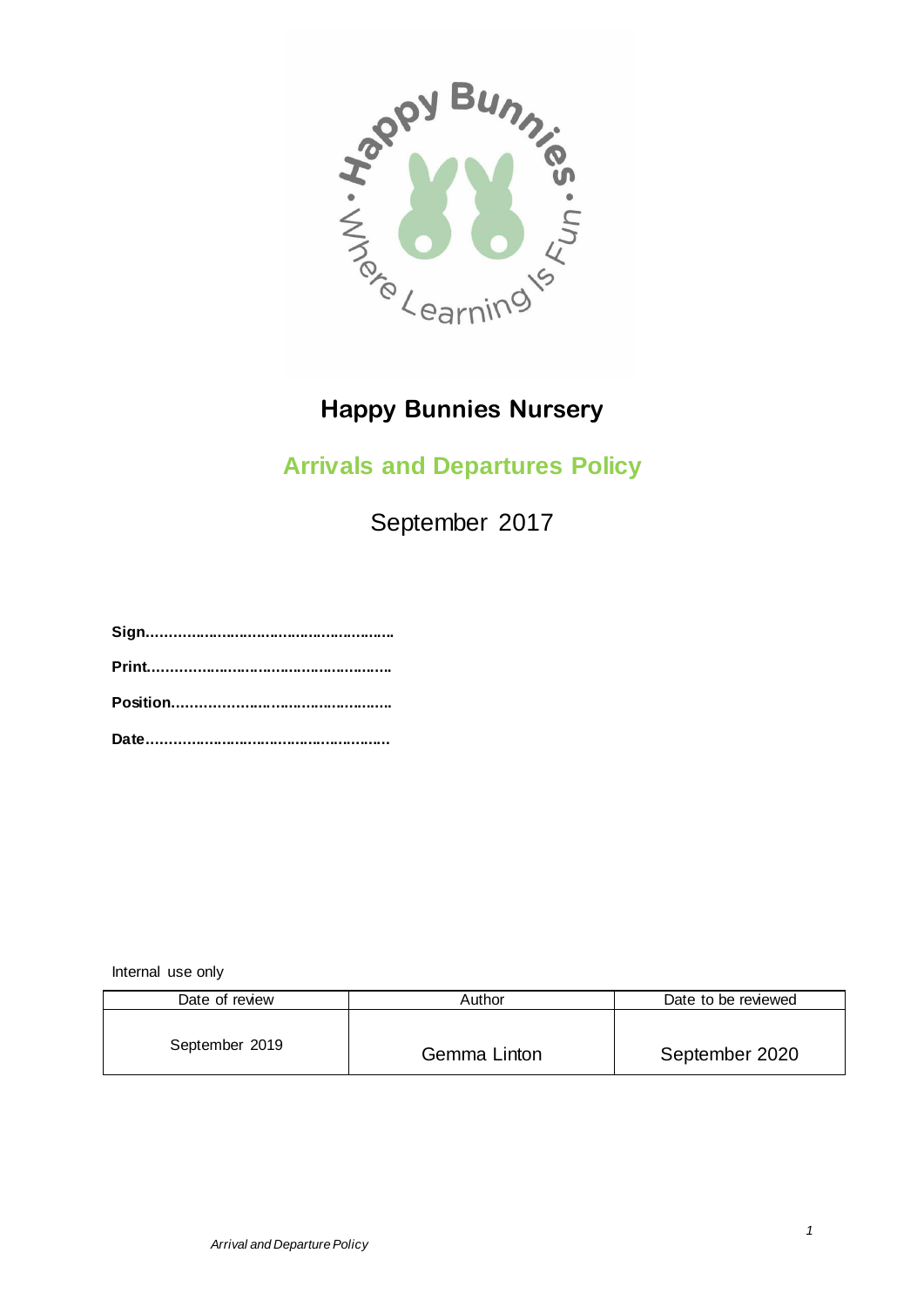

# **Happy Bunnies Nursery**

## **Arrivals and Departures Policy**

September 2017

**Sign......................................................... Print........................................................ Position..................................................**

**Date........................................................**

Internal use only

| Date of review | Author       | Date to be reviewed |
|----------------|--------------|---------------------|
| September 2019 | Gemma Linton | September 2020      |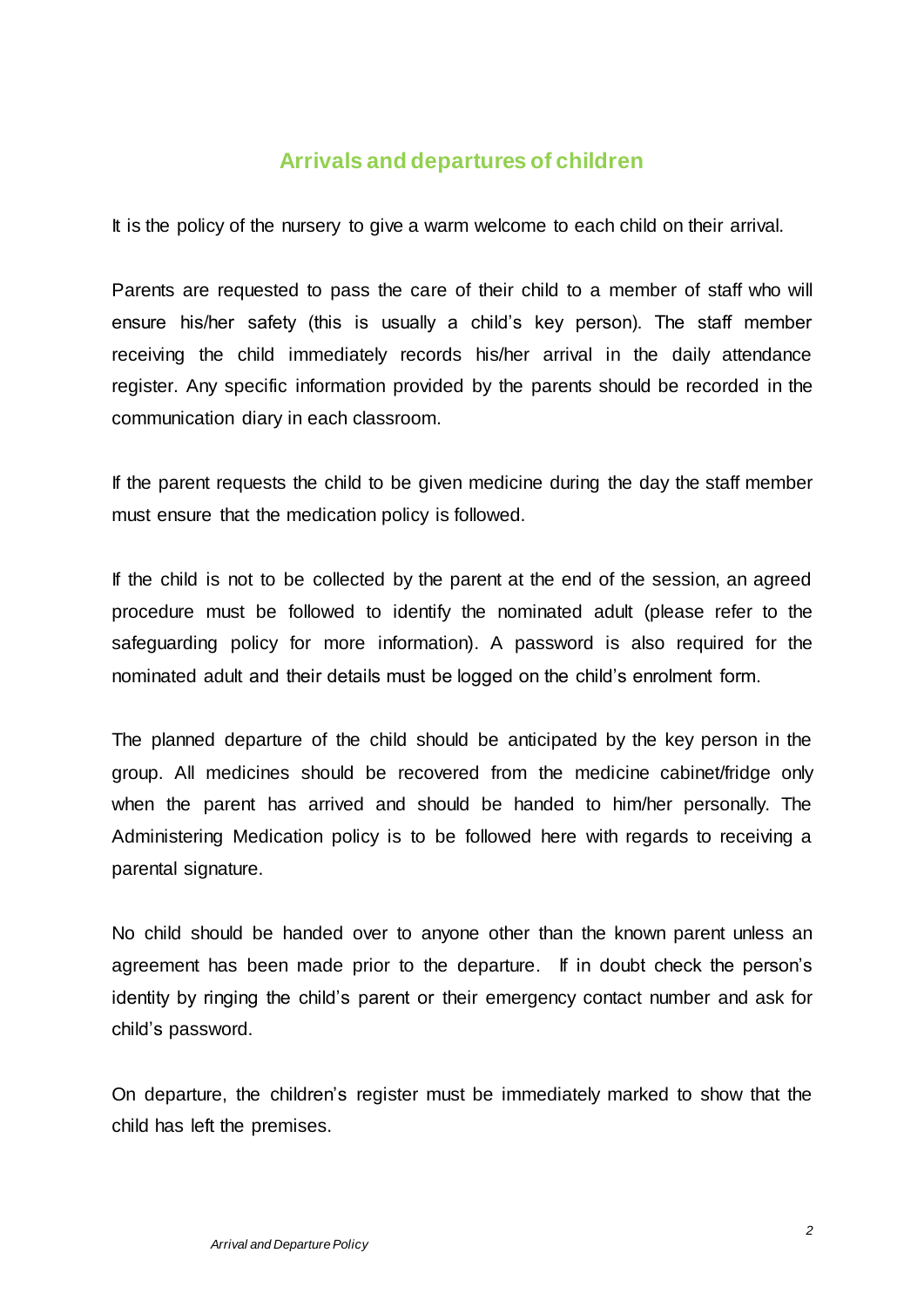### **Arrivals and departures of children**

It is the policy of the nursery to give a warm welcome to each child on their arrival.

Parents are requested to pass the care of their child to a member of staff who will ensure his/her safety (this is usually a child's key person). The staff member receiving the child immediately records his/her arrival in the daily attendance register. Any specific information provided by the parents should be recorded in the communication diary in each classroom.

If the parent requests the child to be given medicine during the day the staff member must ensure that the medication policy is followed.

If the child is not to be collected by the parent at the end of the session, an agreed procedure must be followed to identify the nominated adult (please refer to the safeguarding policy for more information). A password is also required for the nominated adult and their details must be logged on the child's enrolment form.

The planned departure of the child should be anticipated by the key person in the group. All medicines should be recovered from the medicine cabinet/fridge only when the parent has arrived and should be handed to him/her personally. The Administering Medication policy is to be followed here with regards to receiving a parental signature.

No child should be handed over to anyone other than the known parent unless an agreement has been made prior to the departure. If in doubt check the person's identity by ringing the child's parent or their emergency contact number and ask for child's password.

On departure, the children's register must be immediately marked to show that the child has left the premises.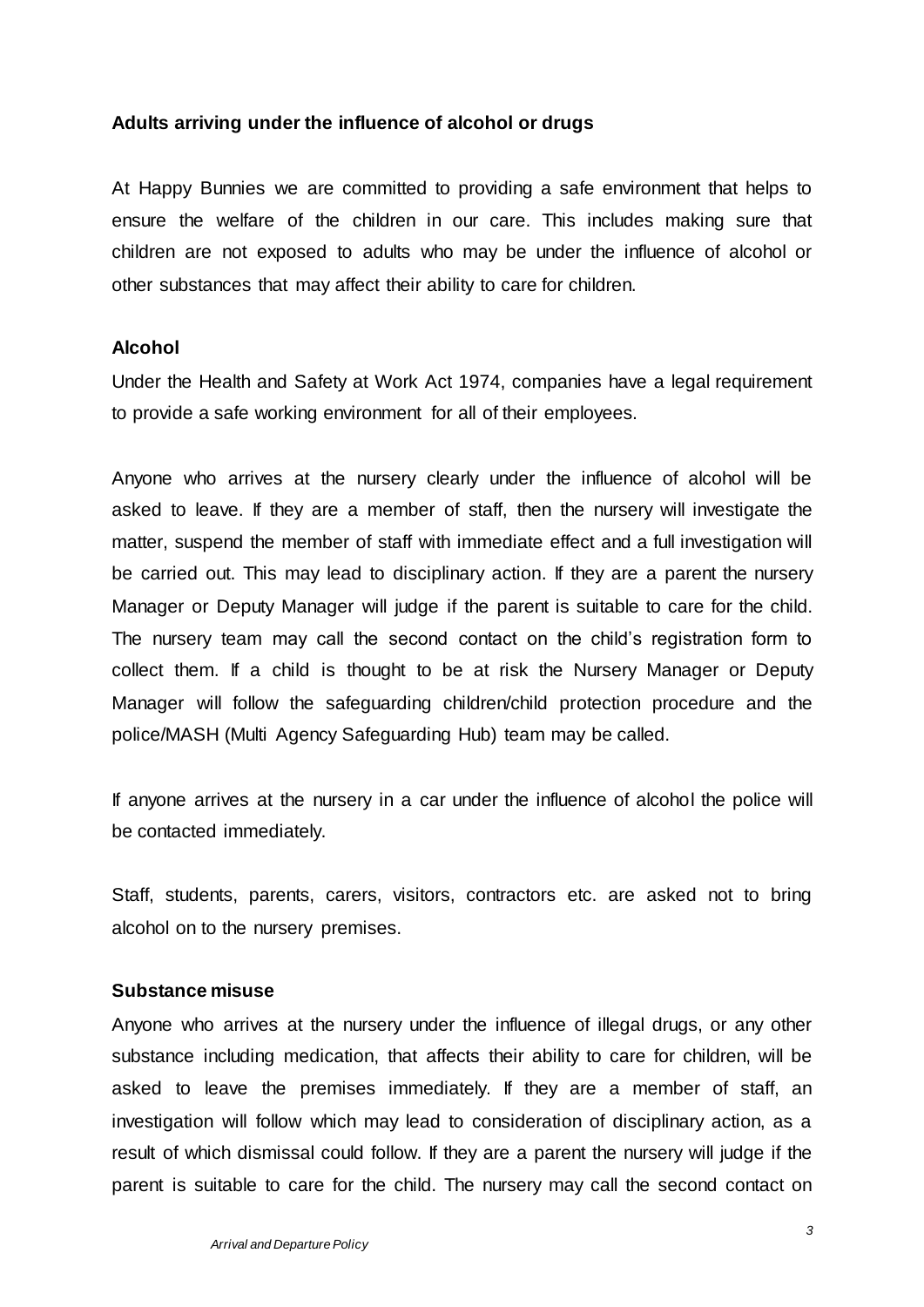#### **Adults arriving under the influence of alcohol or drugs**

At Happy Bunnies we are committed to providing a safe environment that helps to ensure the welfare of the children in our care. This includes making sure that children are not exposed to adults who may be under the influence of alcohol or other substances that may affect their ability to care for children.

#### **Alcohol**

Under the Health and Safety at Work Act 1974, companies have a legal requirement to provide a safe working environment for all of their employees.

Anyone who arrives at the nursery clearly under the influence of alcohol will be asked to leave. If they are a member of staff, then the nursery will investigate the matter, suspend the member of staff with immediate effect and a full investigation will be carried out. This may lead to disciplinary action. If they are a parent the nursery Manager or Deputy Manager will judge if the parent is suitable to care for the child. The nursery team may call the second contact on the child's registration form to collect them. If a child is thought to be at risk the Nursery Manager or Deputy Manager will follow the safeguarding children/child protection procedure and the police/MASH (Multi Agency Safeguarding Hub) team may be called.

If anyone arrives at the nursery in a car under the influence of alcohol the police will be contacted immediately.

Staff, students, parents, carers, visitors, contractors etc. are asked not to bring alcohol on to the nursery premises.

#### **Substance misuse**

Anyone who arrives at the nursery under the influence of illegal drugs, or any other substance including medication, that affects their ability to care for children, will be asked to leave the premises immediately. If they are a member of staff, an investigation will follow which may lead to consideration of disciplinary action, as a result of which dismissal could follow. If they are a parent the nursery will judge if the parent is suitable to care for the child. The nursery may call the second contact on